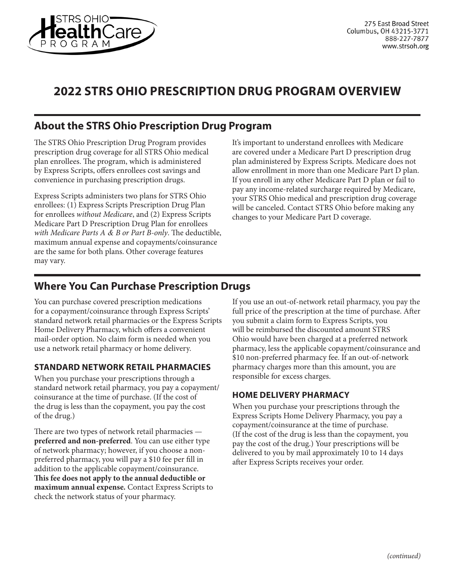

# **2022 STRS OHIO PRESCRIPTION DRUG PROGRAM OVERVIEW**

# **About the STRS Ohio Prescription Drug Program**

The STRS Ohio Prescription Drug Program provides prescription drug coverage for all STRS Ohio medical plan enrollees. The program, which is administered by Express Scripts, offers enrollees cost savings and convenience in purchasing prescription drugs.

Express Scripts administers two plans for STRS Ohio enrollees: (1) Express Scripts Prescription Drug Plan for enrollees *without Medicare*, and (2) Express Scripts Medicare Part D Prescription Drug Plan for enrollees *with Medicare Parts A & B or Part B-only*. The deductible, maximum annual expense and copayments/coinsurance are the same for both plans. Other coverage features may vary.

It's important to understand enrollees with Medicare are covered under a Medicare Part D prescription drug plan administered by Express Scripts. Medicare does not allow enrollment in more than one Medicare Part D plan. If you enroll in any other Medicare Part D plan or fail to pay any income-related surcharge required by Medicare, your STRS Ohio medical and prescription drug coverage will be canceled. Contact STRS Ohio before making any changes to your Medicare Part D coverage.

## **Where You Can Purchase Prescription Drugs**

You can purchase covered prescription medications for a copayment/coinsurance through Express Scripts' standard network retail pharmacies or the Express Scripts Home Delivery Pharmacy, which offers a convenient mail-order option. No claim form is needed when you use a network retail pharmacy or home delivery.

### **STANDARD NETWORK RETAIL PHARMACIES**

When you purchase your prescriptions through a standard network retail pharmacy, you pay a copayment/ coinsurance at the time of purchase. (If the cost of the drug is less than the copayment, you pay the cost of the drug.)

There are two types of network retail pharmacies **preferred and non-preferred**. You can use either type of network pharmacy; however, if you choose a nonpreferred pharmacy, you will pay a \$10 fee per fill in addition to the applicable copayment/coinsurance. **This fee does not apply to the annual deductible or maximum annual expense.** Contact Express Scripts to check the network status of your pharmacy.

If you use an out-of-network retail pharmacy, you pay the full price of the prescription at the time of purchase. After you submit a claim form to Express Scripts, you will be reimbursed the discounted amount STRS Ohio would have been charged at a preferred network pharmacy, less the applicable copayment/coinsurance and \$10 non-preferred pharmacy fee. If an out-of-network pharmacy charges more than this amount, you are responsible for excess charges.

### **HOME DELIVERY PHARMACY**

When you purchase your prescriptions through the Express Scripts Home Delivery Pharmacy, you pay a copayment/coinsurance at the time of purchase. (If the cost of the drug is less than the copayment, you pay the cost of the drug.) Your prescriptions will be delivered to you by mail approximately 10 to 14 days after Express Scripts receives your order.